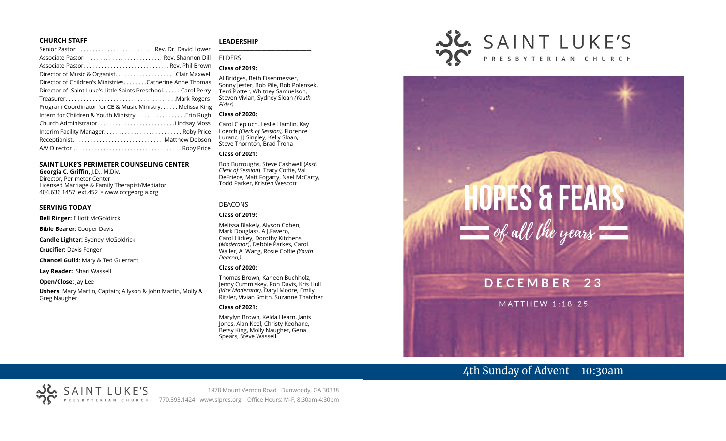#### **CHURCH STAFF**

| Senior Pastor  Rev. Dr. David Lower                           |
|---------------------------------------------------------------|
| Associate Pastor  Rev. Shannon Dill                           |
| Associate Pastor Rev. Phil Brown                              |
| Director of Music & Organist. Clair Maxwell                   |
| Director of Children's Ministries. Catherine Anne Thomas      |
| Director of Saint Luke's Little Saints Preschool. Carol Perry |
|                                                               |
| Program Coordinator for CE & Music Ministry Melissa King      |
| Intern for Children & Youth Ministry. Erin Rugh               |
| Church AdministratorLindsay Moss                              |
| Interim Facility Manager Roby Price                           |
|                                                               |
|                                                               |

#### **SAINT LUKE'S PERIMETER COUNSELING CENTER**

**Georgia C. Griffin,** J.D., M.Div. Director, Perimeter Center Licensed Marriage & Family Therapist/Mediator 404.636.1457, ext.452 • www.cccgeorgia.org

#### **SERVING TODAY**

**Bell Ringer:** Elliott McGoldirck

**Bible Bearer:** Cooper Davis

**Candle Lighter:** Sydney McGoldrick

**Crucifier:** Davis Fenger

**Chancel Guild**: Mary & Ted Guerrant

**Lay Reader:** Shari Wassell

**Open/Close**: Jay Lee

**Ushers:** Mary Martin, Captain; Allyson & John Martin, Molly & Greg Naugher

#### **LEADERSHIP**

# ELDERS

# **Class of 2019:**

Al Bridges, Beth Eisenmesser, Sonny Jester, Bob Pile, Bob Polensek, Terri Potter, Whitney Samuelson, Steven Vivian*,* Sydney Sloan *(Youth Elder)*

**\_\_\_\_\_\_\_\_\_\_\_\_\_\_\_\_\_\_\_\_\_\_\_\_\_\_\_\_\_\_\_\_\_\_\_\_\_\_\_**

#### **Class of 2020:**

Carol Ciepluch, Leslie Hamlin, Kay Loerch *(Clerk of Session),* Florence Luranc, I J Singley, Kelly Sloan, Steve Thornton, Brad Troha

#### **Class of 2021:**

Bob Burroughs, Steve Cashwell (*Asst. Clerk of Session*) Tracy Coffie, Val DeFriece, Matt Fogarty, Nael McCarty, Todd Parker, Kristen Wescott

\_\_\_\_\_\_\_\_\_\_\_\_\_\_\_\_\_\_\_\_\_\_\_\_\_\_\_\_\_\_\_\_\_\_\_\_

#### DEACONS

#### **Class of 2019:**

Melissa Blakely, Alyson Cohen, Mark Douglass, A.J.Favero, Carol Hickey, Dorothy Kitchens (*Moderator*), Debbie Parkes, Carol Waller, Al Wang, Rosie Coffie *(Youth Deacon,)* 

#### **Class of 2020:**

Thomas Brown, Karleen Buchholz, Jenny Cummiskey, Ron Davis, Kris Hull *(Vice Moderator),* Daryl Moore, Emily Ritzler, Vivian Smith, Suzanne Thatcher

#### **Class of 2021:**

Marylyn Brown, Kelda Hearn, Janis Jones, Alan Keel, Christy Keohane, Betsy King, Molly Naugher, Gena Spears, Steve Wassell



# $HOPES$  & FEARS<br>= of all the years DECEMBER 23 **MATTHEW 1:18-25**

# 4th Sunday of Advent 10:30am

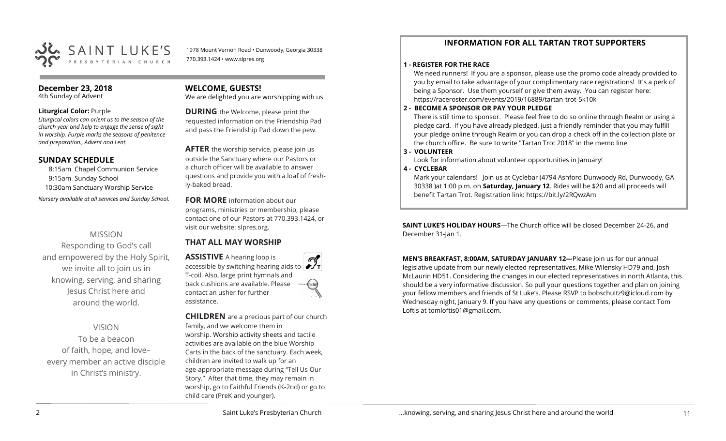

1978 Mount Vernon Road • Dunwoody, Georgia 30338 770.393.1424 • www.slpres.org

# **December 23, 2018**

4th Sunday of Advent

#### **Liturgical Color:** Purple

*Liturgical colors can orient us to the season of the church year and help to engage the sense of sight in worship. Purple marks the seasons of penitence and preparation., Advent and Lent.* 

# **SUNDAY SCHEDULE**

8:15am Chapel Communion Service 9:15am Sunday School 10:30am Sanctuary Worship Service *Nursery available at all services and Sunday School.* 

# MISSION

Responding to God's call and empowered by the Holy Spirit, we invite all to join us in knowing, serving, and sharing Jesus Christ here and around the world.

# VISION

To be a beacon of faith, hope, and love– every member an active disciple in Christ's ministry.

# **WELCOME, GUESTS!**

We are delighted you are worshipping with us.

**DURING** the Welcome, please print the requested information on the Friendship Pad and pass the Friendship Pad down the pew.

**AFTER** the worship service, please join us outside the Sanctuary where our Pastors or a church officer will be available to answer questions and provide you with a loaf of freshly-baked bread.

**FOR MORE** information about our programs, ministries or membership, please contact one of our Pastors at 770.393.1424, or visit our website: slpres.org.

# **THAT ALL MAY WORSHIP**

**ASSISTIVE** A hearing loop is accessible by switching hearing aids to T-coil. Also, large print hymnals and back cushions are available. Please contact an usher for further assistance.

**CHILDREN** are a precious part of our church family, and we welcome them in worship. Worship activity sheets and tactile activities are available on the blue Worship Carts in the back of the sanctuary. Each week, children are invited to walk up for an age-appropriate message during "Tell Us Our Story." After that time, they may remain in worship, go to Faithful Friends (K-2nd) or go to child care (PreK and younger).

# **INFORMATION FOR ALL TARTAN TROT SUPPORTERS**

#### **1 - REGISTER FOR THE RACE**

We need runners! If you are a sponsor, please use the promo code already provided to you by email to take advantage of your complimentary race registrations! It's a perk of being a Sponsor. Use them yourself or give them away. You can register here: [https://raceroster.com/events/2019/16889/tartan](https://raceroster.com/events/2019/16889/tartan-trot-5k10k)-trot-5k10k

## **2 - BECOME A SPONSOR OR PAY YOUR PLEDGE**

There is still time to sponsor. Please feel free to do so online through Realm or using a pledge card. If you have already pledged, just a friendly reminder that you may fulfill your pledge online through Realm or you can drop a check off in the collection plate or the church office. Be sure to write "Tartan Trot 2018" in the memo line.

# **3 - VOLUNTEER**

Look for information about volunteer opportunities in January!

# **4 - CYCLEBAR**

Mark your calendars! Join us at Cyclebar (4794 Ashford Dunwoody Rd, Dunwoody, GA 30338 )at 1:00 p.m. on **Saturday, January 12**. Rides will be \$20 and all proceeds will benefit Tartan Trot. Registration link: <https://bit.ly/2RQwzAm>

**SAINT LUKE'S HOLIDAY HOURS**—The Church office will be closed December 24-26, and December 31-Jan 1.

**MEN'S BREAKFAST, 8:00AM, SATURDAY JANUARY 12—**Please join us for our annual legislative update from our newly elected representatives, Mike Wilensky HD79 and, Josh McLaurin HD51. Considering the changes in our elected representatives in north Atlanta, this should be a very informative discussion. So pull your questions together and plan on joining your fellow members and friends of St Luke's. Please RSVP to [bobschultz9@icloud.com](mailto:bobschultz9@icloud.com) by Wednesday night, January 9. If you have any questions or comments, please contact Tom Loftis at [tomloftis01@gmail.com.](mailto:tomloftis01@gmail.com)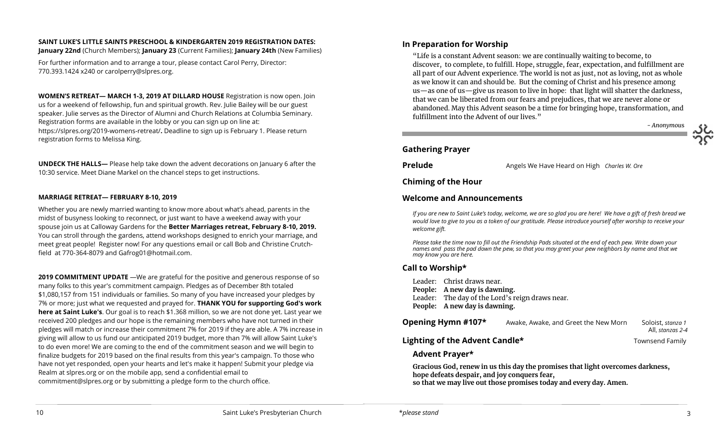# **SAINT LUKE'S LITTLE SAINTS PRESCHOOL & KINDERGARTEN 2019 REGISTRATION DATES:**

**January 22nd** (Church Members); **January 23** (Current Families); **January 24th** (New Families)

For further information and to arrange a tour, please contact Carol Perry, Director: 770.393.1424 x240 or [carolperry@slpres.org.](mailto:carolperry@slpres.org)

**WOMEN'S RETREAT— MARCH 1-3, 2019 AT DILLARD HOUSE** Registration is now open. Join us for a weekend of fellowship, fun and spiritual growth. Rev. Julie Bailey will be our guest speaker. Julie serves as the Director of Alumni and Church Relations at Columbia Seminary. Registration forms are available in the lobby or you can sign up on line at: [https://slpres.org/2019](https://slpres.org/2019-womens-retreat/)-womens-retreat/**.** Deadline to sign up is February 1. Please return registration forms to Melissa King.

**UNDECK THE HALLS—** Please help take down the advent decorations on January 6 after the 10:30 service. Meet Diane Markel on the chancel steps to get instructions.

#### **MARRIAGE RETREAT— FEBRUARY 8-10, 2019**

Whether you are newly married wanting to know more about what's ahead, parents in the midst of busyness looking to reconnect, or just want to have a weekend away with your spouse join us at Calloway Gardens for the **Better Marriages retreat, February 8-10, 2019.**  You can stroll through the gardens, attend workshops designed to enrich your marriage, and meet great people! Register now! For any questions email or call Bob and Christine Crutchfield at 770-364-8079 and [Gafrog01@hotmail.com.](mailto:Gafrog01@hotmail.com) 

**2019 COMMITMENT UPDATE** —We are grateful for the positive and generous response of so many folks to this year's commitment campaign. Pledges as of December 8th totaled \$1,080,157 from 151 individuals or families. So many of you have increased your pledges by 7% or more; just what we requested and prayed for. **THANK YOU for supporting God's work here at Saint Luke's**. Our goal is to reach \$1.368 million, so we are not done yet. Last year we received 200 pledges and our hope is the remaining members who have not turned in their pledges will match or increase their commitment 7% for 2019 if they are able. A 7% increase in giving will allow to us fund our anticipated 2019 budget, more than 7% will allow Saint Luke's to do even more! We are coming to the end of the commitment season and we will begin to finalize budgets for 2019 based on the final results from this year's campaign. To those who have not yet responded, open your hearts and let's make it happen! Submit your pledge via Realm at slpres.org or on the mobile app, send a confidential email to [commitment@slpres.org](mailto:commitment@slpres.org) or by submitting a pledge form to the church office.

# **In Preparation for Worship**

"Life is a constant Advent season: we are continually waiting to become, to discover, to complete, to fulfill. Hope, struggle, fear, expectation, and fulfillment are all part of our Advent experience. The world is not as just, not as loving, not as whole as we know it can and should be. But the coming of Christ and his presence among us—as one of us—give us reason to live in hope: that light will shatter the darkness, that we can be liberated from our fears and prejudices, that we are never alone or abandoned. May this Advent season be a time for bringing hope, transformation, and fulfillment into the Advent of our lives."

*- Anonymou*s

# **Gathering Prayer**

**Prelude** Angels We Have Heard on High *Charles W. Ore* 

# **Chiming of the Hour**

# **Welcome and Announcements**

*If you are new to Saint Luke's today, welcome, we are so glad you are here! We have a gift of fresh bread we would love to give to you as a token of our gratitude. Please introduce yourself after worship to receive your welcome gift.*

*Please take the time now to fill out the Friendship Pads situated at the end of each pew. Write down your names and pass the pad down the pew, so that you may greet your pew neighbors by name and that we may know you are here.*

# **Call to Worship\***

Leader: Christ draws near. **People: A new day is dawning.** Leader: The day of the Lord's reign draws near. **People: A new day is dawning.**

| Opening Hymn #107*             | Awake, Awake, and Greet the New Morn | Soloist, <i>stanza 1</i><br>All, stanzas 2-4 |
|--------------------------------|--------------------------------------|----------------------------------------------|
| Lighting of the Advent Candle* |                                      | Townsend Family                              |

# **Advent Prayer\***

**Gracious God, renew in us this day the promises that light overcomes darkness, hope defeats despair, and joy conquers fear, so that we may live out those promises today and every day. Amen.**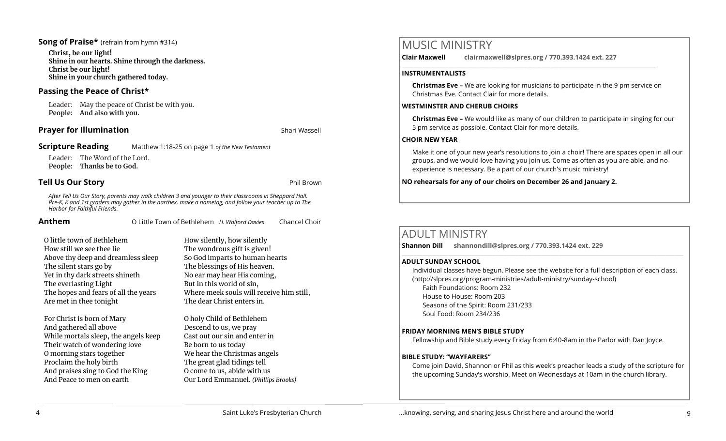# **Song of Praise\*** (refrain from hymn #314)

**Christ, be our light! Shine in our hearts. Shine through the darkness. Christ be our light! Shine in your church gathered today.**

# **Passing the Peace of Christ\***

Leader: May the peace of Christ be with you. **People: And also with you.** 

# **Prayer for Illumination** Shari Wassell

**Scripture Reading** Matthew 1:18-25 on page 1 *of the New Testament*

Leader: The Word of the Lord. **People: Thanks be to God.** 

# **Tell Us Our Story Phil Brown**

*After Tell Us Our Story, parents may walk children 3 and younger to their classrooms in Sheppard Hall. Pre-K, K and 1st graders may gather in the narthex, make a nametag, and follow your teacher up to The Harbor for Faithful Friends.*

| Anthem | O Little Town of Bethlehem H. Walford Davies |  | Chancel Choir |
|--------|----------------------------------------------|--|---------------|
|--------|----------------------------------------------|--|---------------|

| O little town of Bethlehem           |
|--------------------------------------|
| How still we see thee lie            |
| Above thy deep and dreamless sleep   |
| The silent stars go by               |
| Yet in thy dark streets shineth      |
| The everlasting Light                |
| The hopes and fears of all the years |
| Are met in thee tonight              |

For Christ is born of Mary And gathered all above While mortals sleep, the angels keep Their watch of wondering love O morning stars together Proclaim the holy birth And praises sing to God the King And Peace to men on earth

How silently, how silently The wondrous gift is given! So God imparts to human hearts The blessings of His heaven. No ear may hear His coming, But in this world of sin, Where meek souls will receive him still, The dear Christ enters in.

O holy Child of Bethlehem Descend to us, we pray Cast out our sin and enter in Be born to us today We hear the Christmas angels The great glad tidings tell O come to us, abide with us Our Lord Emmanuel. *(Phillips Brooks)* **Clair Maxwell clairmaxwell@slpres.org / 770.393.1424 ext. 227** 

#### **INSTRUMENTALISTS**

**Christmas Eve –** We are looking for musicians to participate in the 9 pm service on Christmas Eve. Contact Clair for more details.

\_\_\_\_\_\_\_\_\_\_\_\_\_\_\_\_\_\_\_\_\_\_\_\_\_\_\_\_\_\_\_\_\_\_\_\_\_\_\_\_\_\_\_\_\_\_\_\_\_\_\_\_\_\_\_\_\_\_\_\_\_\_\_\_\_\_\_\_\_\_\_\_\_\_\_\_\_\_\_\_\_\_\_\_\_\_\_\_

## **WESTMINSTER AND CHERUB CHOIRS**

**Christmas Eve –** We would like as many of our children to participate in singing for our 5 pm service as possible. Contact Clair for more details.

# **CHOIR NEW YEAR**

Make it one of your new year's resolutions to join a choir! There are spaces open in all our groups, and we would love having you join us. Come as often as you are able, and no experience is necessary. Be a part of our church's music ministry!

## **NO rehearsals for any of our choirs on December 26 and January 2.**

# ADULT MINISTRY

**Shannon Dill shannondill@slpres.org / 770.393.1424 ext. 229** 

#### **ADULT SUNDAY SCHOOL**

Individual classes have begun. Please see the website for a full description of each class. (http://slpres.org/program-ministries/adult-ministry/sunday-school) Faith Foundations: Room 232 House to House: Room 203 Seasons of the Spirit: Room 231/233 Soul Food: Room 234/236

 $\mathcal{L}_\mathcal{L} = \{ \mathcal{L}_\mathcal{L} = \{ \mathcal{L}_\mathcal{L} = \{ \mathcal{L}_\mathcal{L} = \{ \mathcal{L}_\mathcal{L} = \{ \mathcal{L}_\mathcal{L} = \{ \mathcal{L}_\mathcal{L} = \{ \mathcal{L}_\mathcal{L} = \{ \mathcal{L}_\mathcal{L} = \{ \mathcal{L}_\mathcal{L} = \{ \mathcal{L}_\mathcal{L} = \{ \mathcal{L}_\mathcal{L} = \{ \mathcal{L}_\mathcal{L} = \{ \mathcal{L}_\mathcal{L} = \{ \mathcal{L}_\mathcal{$ 

## **FRIDAY MORNING MEN'S BIBLE STUDY**

Fellowship and Bible study every Friday from 6:40-8am in the Parlor with Dan Joyce.

## **BIBLE STUDY: "WAYFARERS"**

Come join David, Shannon or Phil as this week's preacher leads a study of the scripture for the upcoming Sunday's worship. Meet on Wednesdays at 10am in the church library.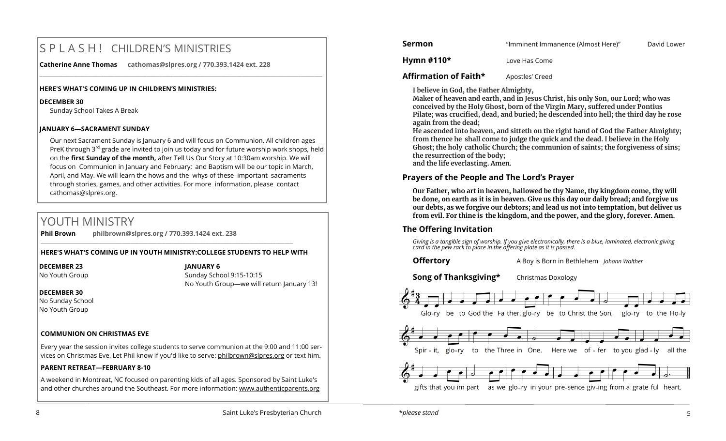# S P L A S H ! CHILDREN'S MINISTRIES

**Catherine Anne Thomas cathomas@slpres.org / 770.393.1424 ext. 228** 

#### **HERE'S WHAT'S COMING UP IN CHILDREN'S MINISTRIES:**

#### **DECEMBER 30**

Sunday School Takes A Break

#### **JANUARY 6—SACRAMENT SUNDAY**

Our next Sacrament Sunday is January 6 and will focus on Communion. All children ages PreK through  $3^{rd}$  grade are invited to join us today and for future worship work shops, held on the **first Sunday of the month,** after Tell Us Our Story at 10:30am worship. We will focus on Communion in January and February; and Baptism will be our topic in March, April, and May. We will learn the hows and the whys of these important sacraments through stories, games, and other activities. For more information, please contact [cathomas@slpres.org.](mailto:cathomas@slpres.org) 

**\_\_\_\_\_\_\_\_\_\_\_\_\_\_\_\_\_\_\_\_\_\_\_\_\_\_\_\_\_\_\_\_\_\_\_\_\_\_\_\_\_\_\_\_\_\_\_\_\_\_\_\_\_\_\_\_\_\_\_\_\_\_\_\_\_\_\_\_\_\_\_\_\_\_\_\_\_\_\_\_\_\_\_\_\_\_\_\_\_\_\_\_\_\_\_\_\_\_\_\_\_\_\_\_\_\_** 

# YOUTH MINISTRY

**Phil Brown philbrown@slpres.org / 770.393.1424 ext. 238** 

## **HERE'S WHAT'S COMING UP IN YOUTH MINISTRY:COLLEGE STUDENTS TO HELP WITH**

\_\_\_\_\_\_\_\_\_\_\_\_\_\_\_\_\_\_\_\_\_\_\_\_\_\_\_\_\_\_\_\_\_\_\_\_\_\_\_\_\_\_\_\_\_\_\_\_\_\_\_\_\_\_\_\_\_\_\_\_\_\_\_\_\_\_\_\_\_\_\_\_\_\_\_\_\_\_\_\_\_\_\_\_\_\_\_

## **DECEMBER 23**

No Youth Group

**JANUARY 6**

Sunday School 9:15-10:15 No Youth Group—we will return January 13!

## **DECEMBER 30**

No Sunday School No Youth Group

# **COMMUNION ON CHRISTMAS EVE**

Every year the session invites college students to serve communion at the 9:00 and 11:00 services on Christmas Eve. Let Phil know if you'd like to serve: [philbrown@slpres.org](mailto:philbrown@slpres.org) or text him.

# **PARENT RETREAT—FEBRUARY 8-10**

A weekend in Montreat, NC focused on parenting kids of all ages. Sponsored by Saint Luke's and other churches around the Southeast. For more information: [www.authenticparents.org](http://www.authenticparents.org)

**Sermon Example 2 "Imminent Immanence (Almost Here)"** David Lower

**Hymn #110\*** Love Has Come

# **Affirmation of Faith\*** Apostles' Creed

**I believe in God, the Father Almighty,**

**Maker of heaven and earth, and in Jesus Christ, his only Son, our Lord; who was conceived by the Holy Ghost, born of the Virgin Mary, suffered under Pontius Pilate; was crucified, dead, and buried; he descended into hell; the third day he rose again from the dead;**

**He ascended into heaven, and sitteth on the right hand of God the Father Almighty; from thence he shall come to judge the quick and the dead. I believe in the Holy Ghost; the holy catholic Church; the communion of saints; the forgiveness of sins; the resurrection of the body;** 

**and the life everlasting. Amen.**

# **Prayers of the People and The Lord's Prayer**

**Our Father, who art in heaven, hallowed be thy Name, thy kingdom come, thy will be done, on earth as it is in heaven. Give us this day our daily bread; and forgive us our debts, as we forgive our debtors; and lead us not into temptation, but deliver us from evil. For thine is the kingdom, and the power, and the glory, forever. Amen.**

# **The Offering Invitation**

*Giving is a tangible sign of worship. If you give electronically, there is a blue, laminated, electronic giving card in the pew rack to place in the offering plate as it is passed.*

**Offertory** A Boy is Born in Bethlehem *Johann Walther*